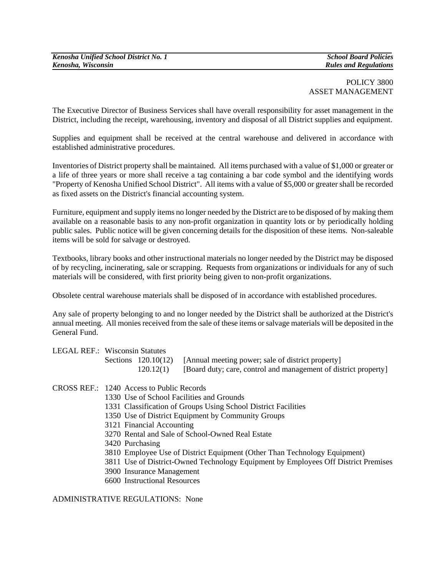## POLICY 3800 ASSET MANAGEMENT

The Executive Director of Business Services shall have overall responsibility for asset management in the District, including the receipt, warehousing, inventory and disposal of all District supplies and equipment.

Supplies and equipment shall be received at the central warehouse and delivered in accordance with established administrative procedures.

Inventories of District property shall be maintained. All items purchased with a value of \$1,000 or greater or a life of three years or more shall receive a tag containing a bar code symbol and the identifying words "Property of Kenosha Unified School District". All items with a value of \$5,000 or greater shall be recorded as fixed assets on the District's financial accounting system.

Furniture, equipment and supply items no longer needed by the District are to be disposed of by making them available on a reasonable basis to any non-profit organization in quantity lots or by periodically holding public sales. Public notice will be given concerning details for the disposition of these items. Non-saleable items will be sold for salvage or destroyed.

Textbooks, library books and other instructional materials no longer needed by the District may be disposed of by recycling, incinerating, sale or scrapping. Requests from organizations or individuals for any of such materials will be considered, with first priority being given to non-profit organizations.

Obsolete central warehouse materials shall be disposed of in accordance with established procedures.

Any sale of property belonging to and no longer needed by the District shall be authorized at the District's annual meeting. All monies received from the sale of these items or salvage materials will be deposited in the General Fund.

| LEGAL REF.: Wisconsin Statutes |  |                                                                       |
|--------------------------------|--|-----------------------------------------------------------------------|
|                                |  | Sections 120.10(12) [Annual meeting power; sale of district property] |

CROSS REF.: 1240 Access to Public Records

- 1330 Use of School Facilities and Grounds
- 1331 Classification of Groups Using School District Facilities
- 1350 Use of District Equipment by Community Groups
- 3121 Financial Accounting
- 3270 Rental and Sale of School-Owned Real Estate
- 3420 Purchasing
- 3810 Employee Use of District Equipment (Other Than Technology Equipment)
- 3811 Use of District-Owned Technology Equipment by Employees Off District Premises

120.12(1) [Board duty; care, control and management of district property]

- 3900 Insurance Management
- 6600 Instructional Resources

ADMINISTRATIVE REGULATIONS: None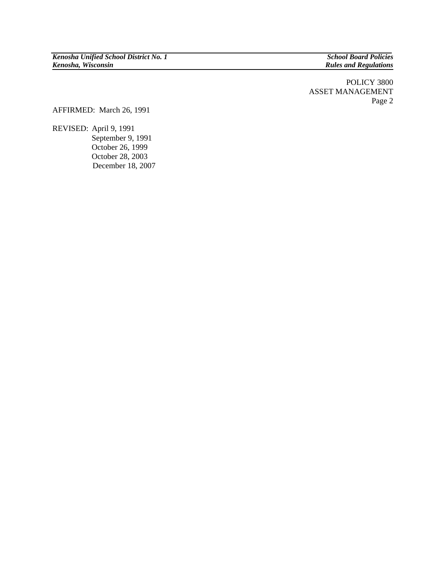*Rules and Regulations* 

POLICY 3800 ASSET MANAGEMENT Page 2

AFFIRMED: March 26, 1991

REVISED: April 9, 1991 September 9, 1991 October 26, 1999 October 28, 2003 December 18, 2007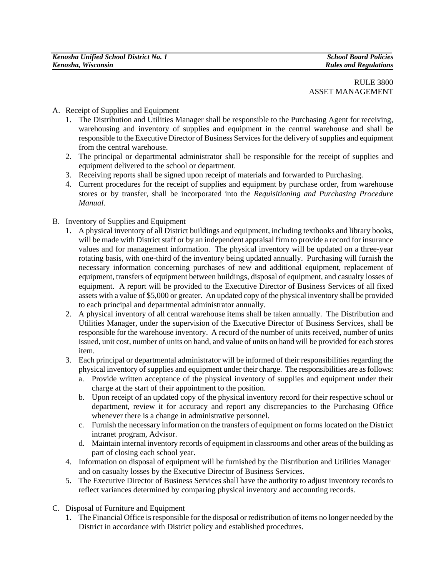- A. Receipt of Supplies and Equipment
	- 1. The Distribution and Utilities Manager shall be responsible to the Purchasing Agent for receiving, warehousing and inventory of supplies and equipment in the central warehouse and shall be responsible to the Executive Director of Business Services for the delivery of supplies and equipment from the central warehouse.
	- 2. The principal or departmental administrator shall be responsible for the receipt of supplies and equipment delivered to the school or department.
	- 3. Receiving reports shall be signed upon receipt of materials and forwarded to Purchasing.
	- 4. Current procedures for the receipt of supplies and equipment by purchase order, from warehouse stores or by transfer, shall be incorporated into the *Requisitioning and Purchasing Procedure Manual*.
- B. Inventory of Supplies and Equipment
	- 1. A physical inventory of all District buildings and equipment, including textbooks and library books, will be made with District staff or by an independent appraisal firm to provide a record for insurance values and for management information. The physical inventory will be updated on a three-year rotating basis, with one-third of the inventory being updated annually. Purchasing will furnish the necessary information concerning purchases of new and additional equipment, replacement of equipment, transfers of equipment between buildings, disposal of equipment, and casualty losses of equipment. A report will be provided to the Executive Director of Business Services of all fixed assets with a value of \$5,000 or greater. An updated copy of the physical inventory shall be provided to each principal and departmental administrator annually.
	- 2. A physical inventory of all central warehouse items shall be taken annually. The Distribution and Utilities Manager, under the supervision of the Executive Director of Business Services, shall be responsible for the warehouse inventory. A record of the number of units received, number of units issued, unit cost, number of units on hand, and value of units on hand will be provided for each stores item.
	- 3. Each principal or departmental administrator will be informed of their responsibilities regarding the physical inventory of supplies and equipment under their charge. The responsibilities are as follows:
		- a. Provide written acceptance of the physical inventory of supplies and equipment under their charge at the start of their appointment to the position.
		- **b.** Upon receipt of an updated copy of the physical inventory record for their respective school or department, review it for accuracy and report any discrepancies to the Purchasing Office whenever there is a change in administrative personnel.
		- c. Furnish the necessary information on the transfers of equipment on forms located on the District intranet program, Advisor.
		- d. Maintain internal inventory records of equipment in classrooms and other areas of the building as part of closing each school year.
	- 4. Information on disposal of equipment will be furnished by the Distribution and Utilities Manager and on casualty losses by the Executive Director of Business Services.
	- 5. The Executive Director of Business Services shall have the authority to adjust inventory records to reflect variances determined by comparing physical inventory and accounting records.
- C. Disposal of Furniture and Equipment
	- 1. The Financial Office is responsible for the disposal or redistribution of items no longer needed by the District in accordance with District policy and established procedures.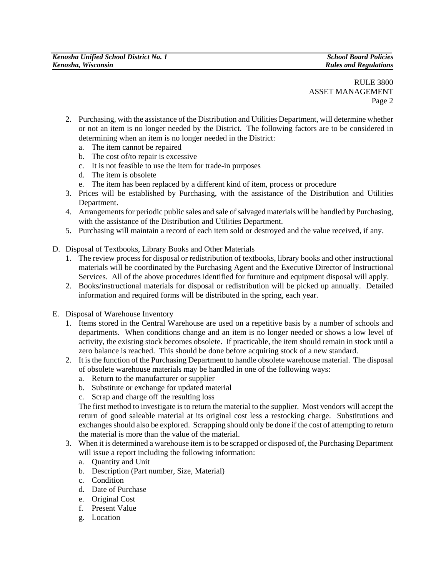RULE 3800 ASSET MANAGEMENT Page 2

- 2. Purchasing, with the assistance of the Distribution and Utilities Department, will determine whether or not an item is no longer needed by the District. The following factors are to be considered in determining when an item is no longer needed in the District:
	- a. The item cannot be repaired
	- b. The cost of/to repair is excessive
	- c. It is not feasible to use the item for trade-in purposes
	- d. The item is obsolete
	- e. The item has been replaced by a different kind of item, process or procedure
- 3. Prices will be established by Purchasing, with the assistance of the Distribution and Utilities Department.
- 4. Arrangements for periodic public sales and sale of salvaged materials will be handled by Purchasing, with the assistance of the Distribution and Utilities Department.
- 5. Purchasing will maintain a record of each item sold or destroyed and the value received, if any.
- D. Disposal of Textbooks, Library Books and Other Materials
	- 1. The review process for disposal or redistribution of textbooks, library books and other instructional materials will be coordinated by the Purchasing Agent and the Executive Director of Instructional Services. All of the above procedures identified for furniture and equipment disposal will apply.
	- 2. Books/instructional materials for disposal or redistribution will be picked up annually. Detailed information and required forms will be distributed in the spring, each year.
- E. Disposal of Warehouse Inventory
	- 1. Items stored in the Central Warehouse are used on a repetitive basis by a number of schools and departments. When conditions change and an item is no longer needed or shows a low level of activity, the existing stock becomes obsolete. If practicable, the item should remain in stock until a zero balance is reached. This should be done before acquiring stock of a new standard.
	- 2. It is the function of the Purchasing Department to handle obsolete warehouse material. The disposal of obsolete warehouse materials may be handled in one of the following ways:
		- a. Return to the manufacturer or supplier
		- b. Substitute or exchange for updated material
		- c. Scrap and charge off the resulting loss

The first method to investigate is to return the material to the supplier. Most vendors will accept the return of good saleable material at its original cost less a restocking charge. Substitutions and exchanges should also be explored. Scrapping should only be done if the cost of attempting to return the material is more than the value of the material.

- 3. When it is determined a warehouse item is to be scrapped or disposed of, the Purchasing Department will issue a report including the following information:
	- a. Quantity and Unit
	- b. Description (Part number, Size, Material)
	- c. Condition
	- d. Date of Purchase
	- e. Original Cost
	- f. Present Value
	- g. Location